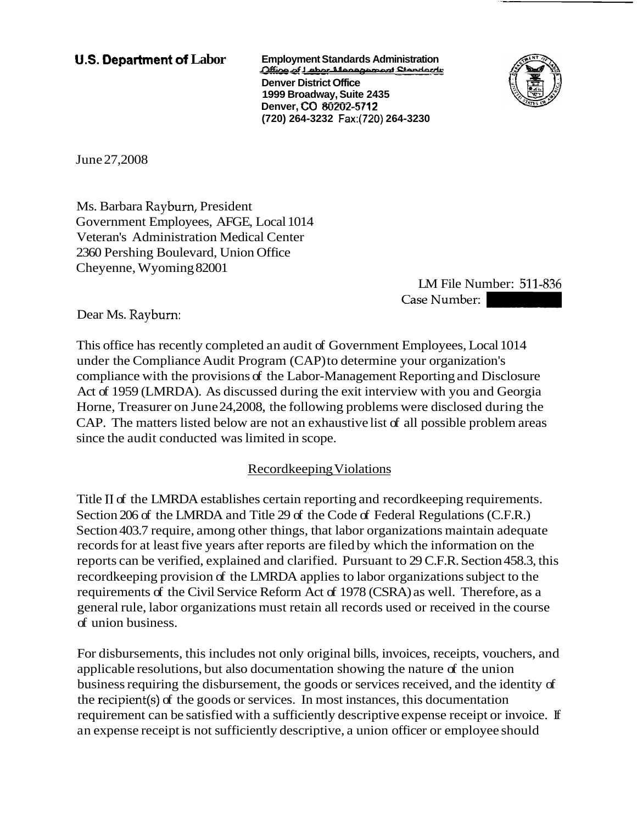**U.S. Department af Labor Employment Standards Administration**   $\frac{1}{2}$ **Denver District Office 1999 Broadway, Suite 2435 Denver, CO 80202-5712 (720) 264-3232 Fax:(720) 264-3230** 



June 27,2008

Ms. Barbara Rayburn, President Government Employees, AFGE, Local 1014 Veteran's Administration Medical Center 2360 Pershing Boulevard, Union Office Cheyenne, Wyoming 82001

LM File Number: 511-836 Case Number:

Dear Ms. Rayburn:

This office has recently completed an audit of Government Employees, Local 1014 under the Compliance Audit Program (CAP) to determine your organization's compliance with the provisions of the Labor-Management Reporting and Disclosure Act of 1959 (LMRDA). As discussed during the exit interview with you and Georgia Horne, Treasurer on June 24,2008, the following problems were disclosed during the CAP. The matters listed below are not an exhaustive list of all possible problem areas since the audit conducted was limited in scope.

## Recordkeeping Violations

Title I1 of the LMRDA establishes certain reporting and recordkeeping requirements. Section 206 of the LMRDA and Title 29 of the Code of Federal Regulations (C.F.R.) Section 403.7 require, among other things, that labor organizations maintain adequate records for at least five years after reports are filed by which the information on the reports can be verified, explained and clarified. Pursuant to 29 C.F.R. Section 458.3, this recordkeeping provision of the LMRDA applies to labor organizations subject to the requirements of the Civil Service Reform Act of 1978 (CSRA) as well. Therefore, as a general rule, labor organizations must retain all records used or received in the course of union business.

For disbursements, this includes not only original bills, invoices, receipts, vouchers, and applicable resolutions, but also documentation showing the nature of the union business requiring the disbursement, the goods or services received, and the identity of the recipient(s) of the goods or services. In most instances, this documentation requirement can be satisfied with a sufficiently descriptive expense receipt or invoice. If an expense receipt is not sufficiently descriptive, a union officer or employee should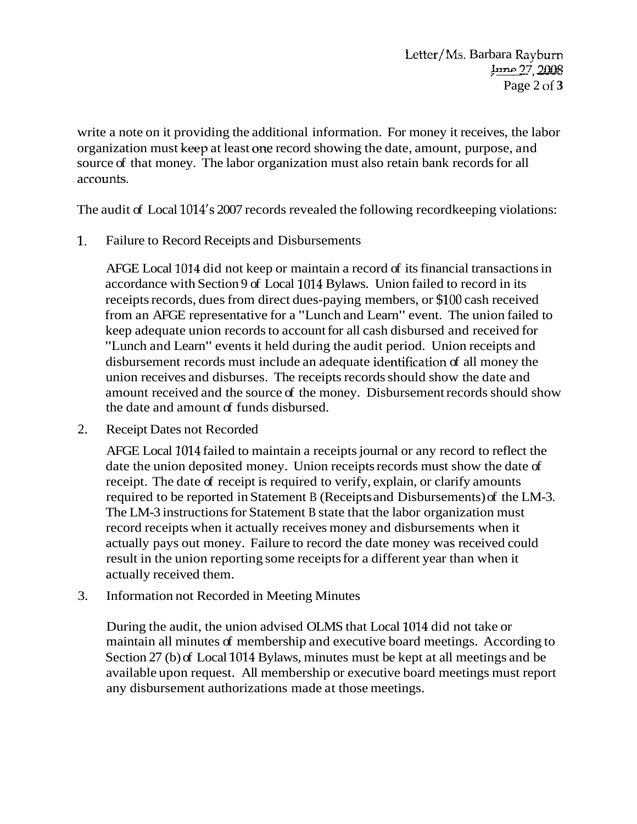write a note on it providing the additional information. For money it receives, the labor organization must keep at least one record showing the date, amount, purpose, and source of that money. The labor organization must also retain bank records for all accounts.

The audit of Local 1014's 2007 records revealed the following recordkeeping violations:

1. Failure to Record Receipts and Disbursements

AFGE Local 1014 did not keep or maintain a record of its financial transactions in accordance with Section 9 of Local 1014 Bylaws. Union failed to record in its receipts records, dues from direct dues-paying members, or \$100 cash received from an AFGE representative for a "Lunch and Learn" event. The union failed to keep adequate union records to account for all cash disbursed and received for "Lunch and Learn" events it held during the audit period. Union receipts and disbursement records must include an adequate identification of all money the union receives and disburses. The receipts records should show the date and amount received and the source of the money. Disbursement records should show the date and amount of funds disbursed.

2. Receipt Dates not Recorded

AFGE Local 1014 failed to maintain a receipts journal or any record to reflect the date the union deposited money. Union receipts records must show the date of receipt. The date of receipt is required to verify, explain, or clarify amounts required to be reported in Statement B (Receipts and Disbursements) of the LM-3. The LM-3 instructions for Statement B state that the labor organization must record receipts when it actually receives money and disbursements when it actually pays out money. Failure to record the date money was received could result in the union reporting some receipts for a different year than when it actually received them.

3. Information not Recorded in Meeting Minutes

During the audit, the union advised OLMS that Local 1014 did not take or maintain all minutes of membership and executive board meetings. According to Section 27 (b) of Local 1014 Bylaws, minutes must be kept at all meetings and be available upon request. All membership or executive board meetings must report any disbursement authorizations made at those meetings.